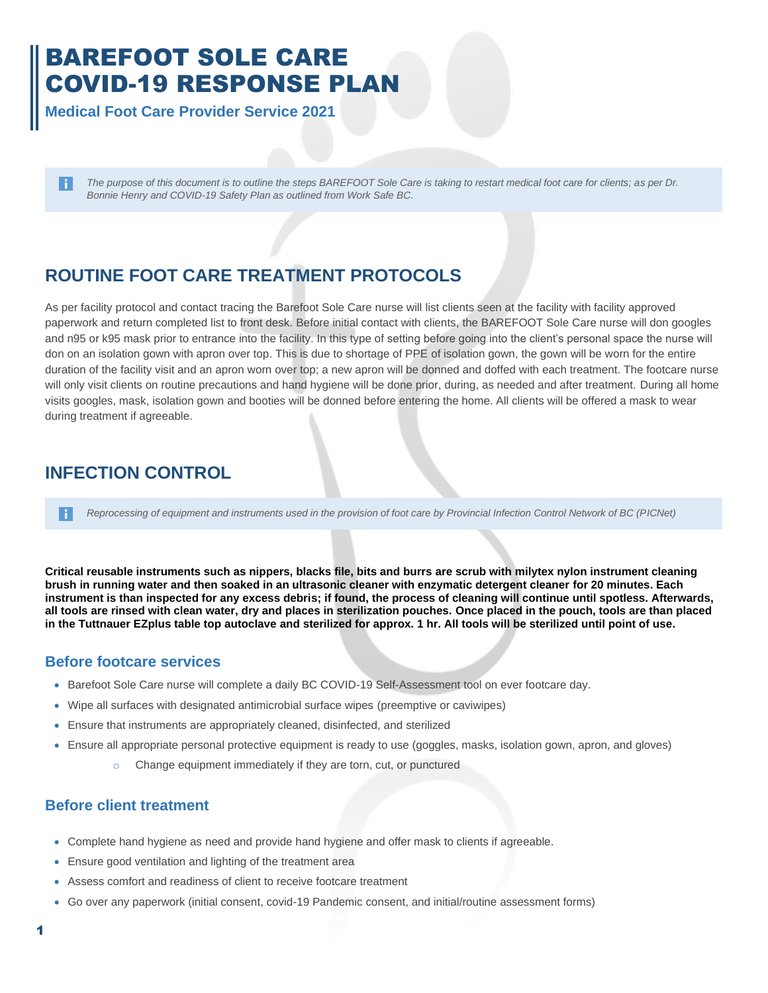# BAREFOOT SOLE CARE COVID-19 RESPONSE PLAN

**Medical Foot Care Provider Service 2021**

*The purpose of this document is to outline the steps BAREFOOT Sole Care is taking to restart medical foot care for clients; as per Dr. Bonnie Henry and COVID-19 Safety Plan as outlined from Work Safe BC.* 

## **ROUTINE FOOT CARE TREATMENT PROTOCOLS**

As per facility protocol and contact tracing the Barefoot Sole Care nurse will list clients seen at the facility with facility approved paperwork and return completed list to front desk. Before initial contact with clients, the BAREFOOT Sole Care nurse will don googles and n95 or k95 mask prior to entrance into the facility. In this type of setting before going into the client's personal space the nurse will don on an isolation gown with apron over top. This is due to shortage of PPE of isolation gown, the gown will be worn for the entire duration of the facility visit and an apron worn over top; a new apron will be donned and doffed with each treatment. The footcare nurse will only visit clients on routine precautions and hand hygiene will be done prior, during, as needed and after treatment. During all home visits googles, mask, isolation gown and booties will be donned before entering the home. All clients will be offered a mask to wear during treatment if agreeable.

### **INFECTION CONTROL**

*Reprocessing of equipment and instruments used in the provision of foot care by Provincial Infection Control Network of BC (PICNet)* H.

**Critical reusable instruments such as nippers, blacks file, bits and burrs are scrub with milytex nylon instrument cleaning brush in running water and then soaked in an ultrasonic cleaner with enzymatic detergent cleaner for 20 minutes. Each instrument is than inspected for any excess debris; if found, the process of cleaning will continue until spotless. Afterwards, all tools are rinsed with clean water, dry and places in sterilization pouches. Once placed in the pouch, tools are than placed in the Tuttnauer EZplus table top autoclave and sterilized for approx. 1 hr. All tools will be sterilized until point of use.**

#### **Before footcare services**

- Barefoot Sole Care nurse will complete a daily BC COVID-19 Self-Assessment tool on ever footcare day.
- Wipe all surfaces with designated antimicrobial surface wipes (preemptive or caviwipes)
- Ensure that instruments are appropriately cleaned, disinfected, and sterilized
- Ensure all appropriate personal protective equipment is ready to use (goggles, masks, isolation gown, apron, and gloves)
	- o Change equipment immediately if they are torn, cut, or punctured

#### **Before client treatment**

- Complete hand hygiene as need and provide hand hygiene and offer mask to clients if agreeable.
- Ensure good ventilation and lighting of the treatment area
- Assess comfort and readiness of client to receive footcare treatment
- Go over any paperwork (initial consent, covid-19 Pandemic consent, and initial/routine assessment forms)